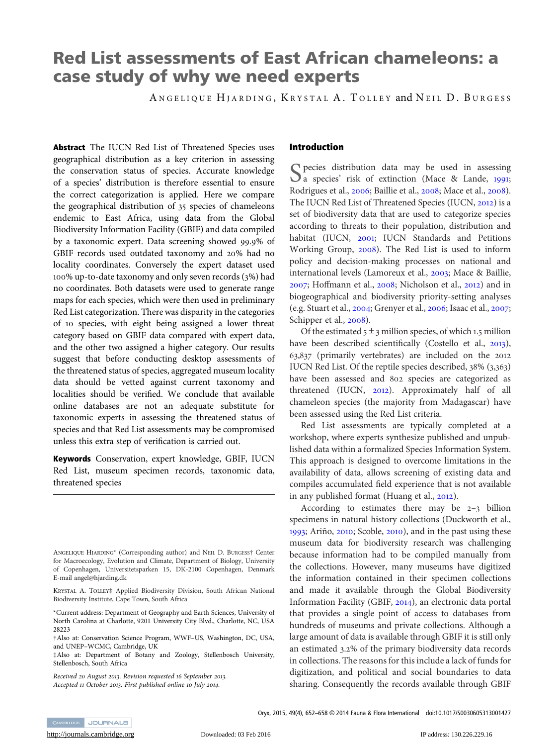# Red List assessments of East African chameleons: a case study of why we need experts

ANGELIQUE HJARDING, KRYSTAL A. TOLLEY and NEIL D. BURGESS

Abstract The IUCN Red List of Threatened Species uses geographical distribution as a key criterion in assessing the conservation status of species. Accurate knowledge of a species' distribution is therefore essential to ensure the correct categorization is applied. Here we compare the geographical distribution of 35 species of chameleons endemic to East Africa, using data from the Global Biodiversity Information Facility (GBIF) and data compiled by a taxonomic expert. Data screening showed 99.9% of GBIF records used outdated taxonomy and 20% had no locality coordinates. Conversely the expert dataset used 100% up-to-date taxonomy and only seven records (3%) had no coordinates. Both datasets were used to generate range maps for each species, which were then used in preliminary Red List categorization. There was disparity in the categories of 10 species, with eight being assigned a lower threat category based on GBIF data compared with expert data, and the other two assigned a higher category. Our results suggest that before conducting desktop assessments of the threatened status of species, aggregated museum locality data should be vetted against current taxonomy and localities should be verified. We conclude that available online databases are not an adequate substitute for taxonomic experts in assessing the threatened status of species and that Red List assessments may be compromised unless this extra step of verification is carried out.

Keywords Conservation, expert knowledge, GBIF, IUCN Red List, museum specimen records, taxonomic data, threatened species

ANGELIQUE HJARDING\* (Corresponding author) and NEIL D. BURGESS† Center for Macroecology, Evolution and Climate, Department of Biology, University of Copenhagen, Universitetsparken 15, DK-2100 Copenhagen, Denmark E-mail angel@hjarding.dk

KRYSTAL A. TOLLEY‡ Applied Biodiversity Division, South African National Biodiversity Institute, Cape Town, South Africa

\*Current address: Department of Geography and Earth Sciences, University of North Carolina at Charlotte, 9201 University City Blvd., Charlotte, NC, USA 28223

†Also at: Conservation Science Program, WWF–US, Washington, DC, USA, and UNEP–WCMC, Cambridge, UK

‡Also at: Department of Botany and Zoology, Stellenbosch University, Stellenbosch, South Africa

Received 20 August 2013. Revision requested 16 September 2013. Accepted 11 October 2013. First published online 10 July 2014.

## Introduction

 $\bigcap$  pecies distribution data may be used in assessing  $\bigcup$  a species' risk of extinction (Mace & Lande, 1991; Rodrigues et al., [2006](#page-6-0); Baillie et al., [2008](#page-5-0); Mace et al., [2008](#page-6-0)). The IUCN Red List of Threatened Species (IUCN, [2012](#page-5-0)) is a set of biodiversity data that are used to categorize species according to threats to their population, distribution and habitat (IUCN, [2001](#page-5-0); IUCN Standards and Petitions Working Group, [2008](#page-5-0)). The Red List is used to inform policy and decision-making processes on national and international levels (Lamoreux et al., [2003](#page-6-0); Mace & Baillie, [2007](#page-6-0); Hoffmann et al., [2008](#page-5-0); Nicholson et al., [2012](#page-6-0)) and in biogeographical and biodiversity priority-setting analyses (e.g. Stuart et al., [2004](#page-6-0); Grenyer et al., [2006](#page-5-0); Isaac et al., [2007](#page-5-0); Schipper et al., [2008](#page-6-0)).

Of the estimated  $5 \pm 3$  million species, of which 1.5 million have been described scientifically (Costello et al., [2013](#page-5-0)), 63,837 (primarily vertebrates) are included on the 2012 IUCN Red List. Of the reptile species described, 38% (3,363) have been assessed and 802 species are categorized as threatened (IUCN, [2012](#page-5-0)). Approximately half of all chameleon species (the majority from Madagascar) have been assessed using the Red List criteria.

Red List assessments are typically completed at a workshop, where experts synthesize published and unpublished data within a formalized Species Information System. This approach is designed to overcome limitations in the availability of data, allows screening of existing data and compiles accumulated field experience that is not available in any published format (Huang et al., [2012](#page-5-0)).

According to estimates there may be 2–3 billion specimens in natural history collections (Duckworth et al., [1993](#page-5-0); Ariño, [2010](#page-5-0); Scoble, [2010](#page-6-0)), and in the past using these museum data for biodiversity research was challenging because information had to be compiled manually from the collections. However, many museums have digitized the information contained in their specimen collections and made it available through the Global Biodiversity Information Facility (GBIF, [2014](#page-5-0)), an electronic data portal that provides a single point of access to databases from hundreds of museums and private collections. Although a large amount of data is available through GBIF it is still only an estimated 3.2% of the primary biodiversity data records in collections. The reasons for this include a lack of funds for digitization, and political and social boundaries to data sharing. Consequently the records available through GBIF

Oryx, 2015, 49(4), 652–658 © 2014 Fauna & Flora International doi:10.1017/S0030605313001427

CAMBRIDGE JOURNALS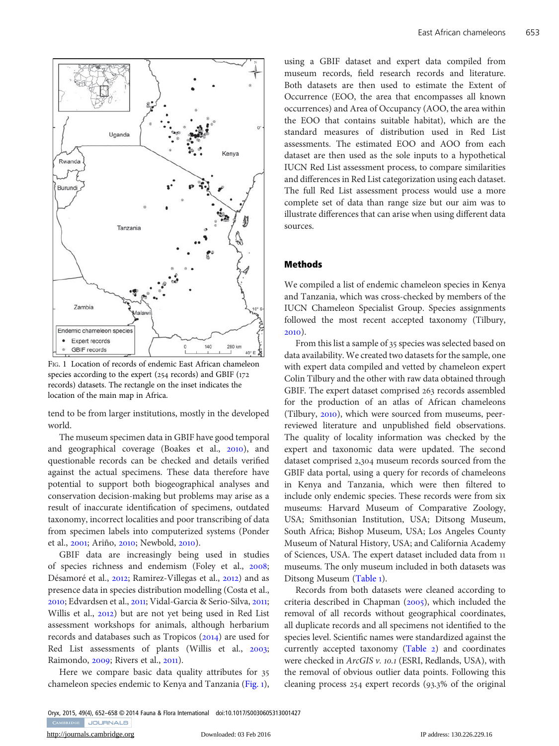

FIG. 1 Location of records of endemic East African chameleon species according to the expert (254 records) and GBIF (172 records) datasets. The rectangle on the inset indicates the location of the main map in Africa.

tend to be from larger institutions, mostly in the developed world.

The museum specimen data in GBIF have good temporal and geographical coverage (Boakes et al., [2010](#page-5-0)), and questionable records can be checked and details verified against the actual specimens. These data therefore have potential to support both biogeographical analyses and conservation decision-making but problems may arise as a result of inaccurate identification of specimens, outdated taxonomy, incorrect localities and poor transcribing of data from specimen labels into computerized systems (Ponder et al., [2001](#page-6-0); Ariño, [2010](#page-5-0); Newbold, [2010](#page-6-0)).

GBIF data are increasingly being used in studies of species richness and endemism (Foley et al., [2008](#page-5-0); Désamoré et al., [2012](#page-5-0); Ramirez-Villegas et al., [2012](#page-6-0)) and as presence data in species distribution modelling (Costa et al., [2010](#page-5-0); Edvardsen et al., [2011](#page-5-0); Vidal-Garcia & Serio-Silva, [2011](#page-6-0); Willis et al., [2012](#page-6-0)) but are not yet being used in Red List assessment workshops for animals, although herbarium records and databases such as Tropicos ([2014](#page-6-0)) are used for Red List assessments of plants (Willis et al., [2003](#page-6-0); Raimondo, [2009](#page-6-0); Rivers et al., [2011](#page-6-0)).

Here we compare basic data quality attributes for 35 chameleon species endemic to Kenya and Tanzania (Fig. 1),

using a GBIF dataset and expert data compiled from museum records, field research records and literature. Both datasets are then used to estimate the Extent of Occurrence (EOO, the area that encompasses all known occurrences) and Area of Occupancy (AOO, the area within the EOO that contains suitable habitat), which are the standard measures of distribution used in Red List assessments. The estimated EOO and AOO from each dataset are then used as the sole inputs to a hypothetical IUCN Red List assessment process, to compare similarities and differences in Red List categorization using each dataset. The full Red List assessment process would use a more complete set of data than range size but our aim was to illustrate differences that can arise when using different data sources.

#### Methods

We compiled a list of endemic chameleon species in Kenya and Tanzania, which was cross-checked by members of the IUCN Chameleon Specialist Group. Species assignments followed the most recent accepted taxonomy (Tilbury, [2010](#page-6-0)).

From this list a sample of 35 species was selected based on data availability. We created two datasets for the sample, one with expert data compiled and vetted by chameleon expert Colin Tilbury and the other with raw data obtained through GBIF. The expert dataset comprised 263 records assembled for the production of an atlas of African chameleons (Tilbury, [2010](#page-6-0)), which were sourced from museums, peerreviewed literature and unpublished field observations. The quality of locality information was checked by the expert and taxonomic data were updated. The second dataset comprised 2,304 museum records sourced from the GBIF data portal, using a query for records of chameleons in Kenya and Tanzania, which were then filtered to include only endemic species. These records were from six museums: Harvard Museum of Comparative Zoology, USA; Smithsonian Institution, USA; Ditsong Museum, South Africa; Bishop Museum, USA; Los Angeles County Museum of Natural History, USA; and California Academy of Sciences, USA. The expert dataset included data from 11 museums. The only museum included in both datasets was Ditsong Museum ([Table](#page-2-0) 1).

Records from both datasets were cleaned according to criteria described in Chapman ([2005](#page-5-0)), which included the removal of all records without geographical coordinates, all duplicate records and all specimens not identified to the species level. Scientific names were standardized against the currently accepted taxonomy [\(Table](#page-2-0) 2) and coordinates were checked in ArcGIS v. 10.1 (ESRI, Redlands, USA), with the removal of obvious outlier data points. Following this cleaning process 254 expert records (93.3% of the original

Oryx, 2015, 49(4), 652–658 © 2014 Fauna & Flora International doi:10.1017/S0030605313001427CAMBRIDGE JOURNALS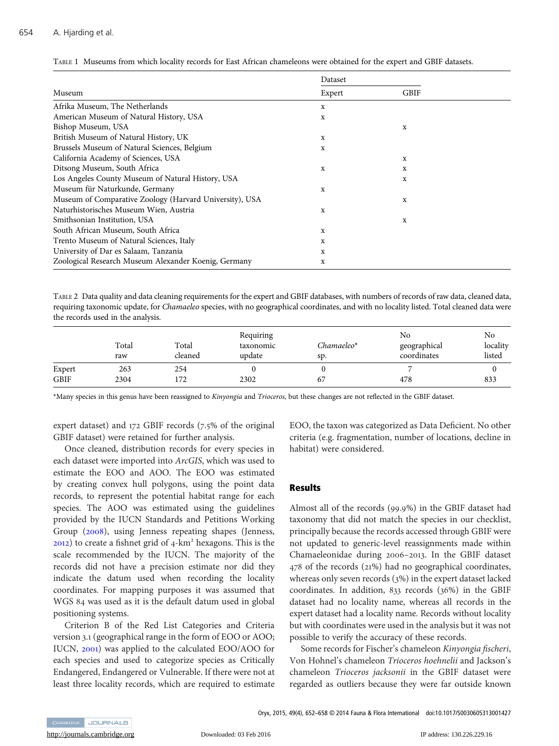|                                                         | Dataset |      |  |
|---------------------------------------------------------|---------|------|--|
| Museum                                                  | Expert  | GBIF |  |
| Afrika Museum, The Netherlands                          | x       |      |  |
| American Museum of Natural History, USA                 | X       |      |  |
| Bishop Museum, USA                                      |         | X    |  |
| British Museum of Natural History, UK                   | x       |      |  |
| Brussels Museum of Natural Sciences, Belgium            | x       |      |  |
| California Academy of Sciences, USA                     |         | X    |  |
| Ditsong Museum, South Africa                            | x       | X    |  |
| Los Angeles County Museum of Natural History, USA       |         | X    |  |
| Museum für Naturkunde, Germany                          | x       |      |  |
| Museum of Comparative Zoology (Harvard University), USA |         | X    |  |
| Naturhistorisches Museum Wien, Austria                  | x       |      |  |
| Smithsonian Institution, USA                            |         | X    |  |
| South African Museum, South Africa                      | x       |      |  |
| Trento Museum of Natural Sciences, Italy                | x       |      |  |
| University of Dar es Salaam, Tanzania                   | X       |      |  |
| Zoological Research Museum Alexander Koenig, Germany    | x       |      |  |

<span id="page-2-0"></span>TABLE 1 Museums from which locality records for East African chameleons were obtained for the expert and GBIF datasets.

TABLE 2 Data quality and data cleaning requirements for the expert and GBIF databases, with numbers of records of raw data, cleaned data, requiring taxonomic update, for Chamaeleo species, with no geographical coordinates, and with no locality listed. Total cleaned data were the records used in the analysis.

|             | Total<br>raw | Total<br>cleaned | Requiring<br>taxonomic<br>update | $Chamaeleo*$<br>sp. | No<br>geographical<br>coordinates | No<br>locality<br>listed |
|-------------|--------------|------------------|----------------------------------|---------------------|-----------------------------------|--------------------------|
| Expert      | 263          | 254              |                                  |                     |                                   |                          |
| <b>GBIF</b> | 2304         | 172              | 2302                             | 67                  | 478                               | 833                      |

\*Many species in this genus have been reassigned to Kinyongia and Trioceros, but these changes are not reflected in the GBIF dataset.

expert dataset) and 172 GBIF records (7.5% of the original GBIF dataset) were retained for further analysis.

Once cleaned, distribution records for every species in each dataset were imported into ArcGIS, which was used to estimate the EOO and AOO. The EOO was estimated by creating convex hull polygons, using the point data records, to represent the potential habitat range for each species. The AOO was estimated using the guidelines provided by the IUCN Standards and Petitions Working Group ([2008](#page-5-0)), using Jenness repeating shapes (Jenness,  $2012$ ) to create a fishnet grid of  $4-km<sup>2</sup>$  hexagons. This is the scale recommended by the IUCN. The majority of the records did not have a precision estimate nor did they indicate the datum used when recording the locality coordinates. For mapping purposes it was assumed that WGS 84 was used as it is the default datum used in global positioning systems.

Criterion B of the Red List Categories and Criteria version 3.1 (geographical range in the form of EOO or AOO; IUCN, [2001](#page-5-0)) was applied to the calculated EOO/AOO for each species and used to categorize species as Critically Endangered, Endangered or Vulnerable. If there were not at least three locality records, which are required to estimate EOO, the taxon was categorized as Data Deficient. No other criteria (e.g. fragmentation, number of locations, decline in habitat) were considered.

## Results

Almost all of the records (99.9%) in the GBIF dataset had taxonomy that did not match the species in our checklist, principally because the records accessed through GBIF were not updated to generic-level reassignments made within Chamaeleonidae during 2006–2013. In the GBIF dataset 478 of the records (21%) had no geographical coordinates, whereas only seven records (3%) in the expert dataset lacked coordinates. In addition, 833 records (36%) in the GBIF dataset had no locality name, whereas all records in the expert dataset had a locality name. Records without locality but with coordinates were used in the analysis but it was not possible to verify the accuracy of these records.

Some records for Fischer's chameleon Kinyongia fischeri, Von Hohnel's chameleon Trioceros hoehnelii and Jackson's chameleon Trioceros jacksonii in the GBIF dataset were regarded as outliers because they were far outside known

Oryx, 2015, 49(4), 652–658 © 2014 Fauna & Flora International doi:10.1017/S0030605313001427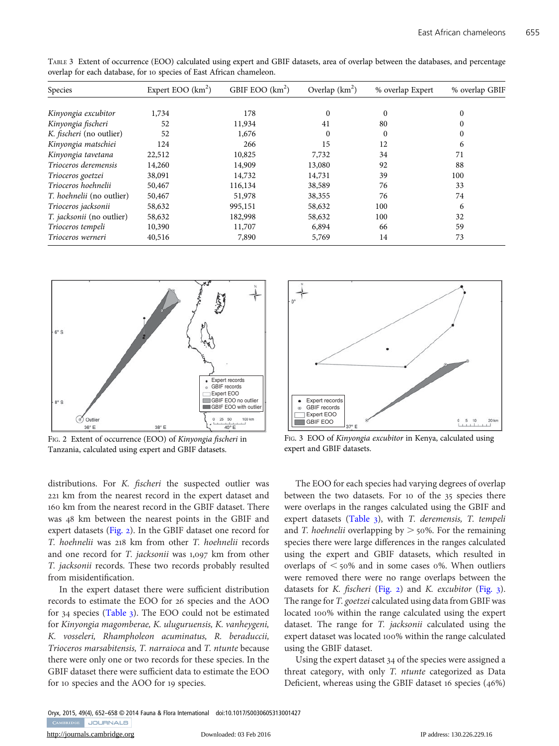| Species                   | Expert EOO $(km^2)$ | GBIF EOO $(km^2)$ | Overlap $(km^2)$ | % overlap Expert | % overlap GBIF |
|---------------------------|---------------------|-------------------|------------------|------------------|----------------|
|                           |                     |                   |                  |                  |                |
| Kinyongia excubitor       | 1,734               | 178               | $\Omega$         | $\theta$         | $\Omega$       |
| Kinyongia fischeri        | 52                  | 11,934            | 41               | 80               | 0              |
| K. fischeri (no outlier)  | 52                  | 1,676             | $\Omega$         | $\theta$         | 0              |
| Kinyongia matschiei       | 124                 | 266               | 15               | 12               | 6              |
| Kinyongia tavetana        | 22,512              | 10,825            | 7,732            | 34               | 71             |
| Trioceros deremensis      | 14,260              | 14,909            | 13,080           | 92               | 88             |
| Trioceros goetzei         | 38,091              | 14,732            | 14,731           | 39               | 100            |
| Trioceros hoehnelii       | 50,467              | 116,134           | 38,589           | 76               | 33             |
| T. hoehnelii (no outlier) | 50,467              | 51,978            | 38,355           | 76               | 74             |
| Trioceros jacksonii       | 58,632              | 995,151           | 58,632           | 100              | 6              |
| T. jacksonii (no outlier) | 58,632              | 182,998           | 58,632           | 100              | 32             |
| Trioceros tempeli         | 10,390              | 11,707            | 6,894            | 66               | 59             |
| Trioceros werneri         | 40,516              | 7,890             | 5,769            | 14               | 73             |

TABLE 3 Extent of occurrence (EOO) calculated using expert and GBIF datasets, area of overlap between the databases, and percentage overlap for each database, for 10 species of East African chameleon.



FIG. 2 Extent of occurrence (EOO) of Kinyongia fischeri in Tanzania, calculated using expert and GBIF datasets.

distributions. For K. fischeri the suspected outlier was 221 km from the nearest record in the expert dataset and 160 km from the nearest record in the GBIF dataset. There was 48 km between the nearest points in the GBIF and expert datasets (Fig. 2). In the GBIF dataset one record for T. hoehnelii was 218 km from other T. hoehnelii records and one record for T. jacksonii was 1,097 km from other T. jacksonii records. These two records probably resulted from misidentification.

In the expert dataset there were sufficient distribution records to estimate the EOO for 26 species and the AOO for 34 species (Table 3). The EOO could not be estimated for Kinyongia magomberae, K. uluguruensis, K. vanheygeni, K. vosseleri, Rhampholeon acuminatus, R. beraduccii, Trioceros marsabitensis, T. narraioca and T. ntunte because there were only one or two records for these species. In the GBIF dataset there were sufficient data to estimate the EOO for 10 species and the AOO for 19 species.



FIG. 3 EOO of Kinyongia excubitor in Kenya, calculated using expert and GBIF datasets.

The EOO for each species had varying degrees of overlap between the two datasets. For 10 of the 35 species there were overlaps in the ranges calculated using the GBIF and expert datasets (Table 3), with T. deremensis, T. tempeli and T. hoehnelii overlapping by  $> 50\%$ . For the remaining species there were large differences in the ranges calculated using the expert and GBIF datasets, which resulted in overlaps of  $\leq$  50% and in some cases 0%. When outliers were removed there were no range overlaps between the datasets for K. fischeri (Fig. 2) and K. excubitor (Fig. 3). The range for T. goetzei calculated using data from GBIF was located 100% within the range calculated using the expert dataset. The range for T. jacksonii calculated using the expert dataset was located 100% within the range calculated using the GBIF dataset.

Using the expert dataset 34 of the species were assigned a threat category, with only T. ntunte categorized as Data Deficient, whereas using the GBIF dataset 16 species (46%)

Oryx, 2015, 49(4), 652–658 © 2014 Fauna & Flora International doi:10.1017/S0030605313001427CAMBRIDGE JOURNALS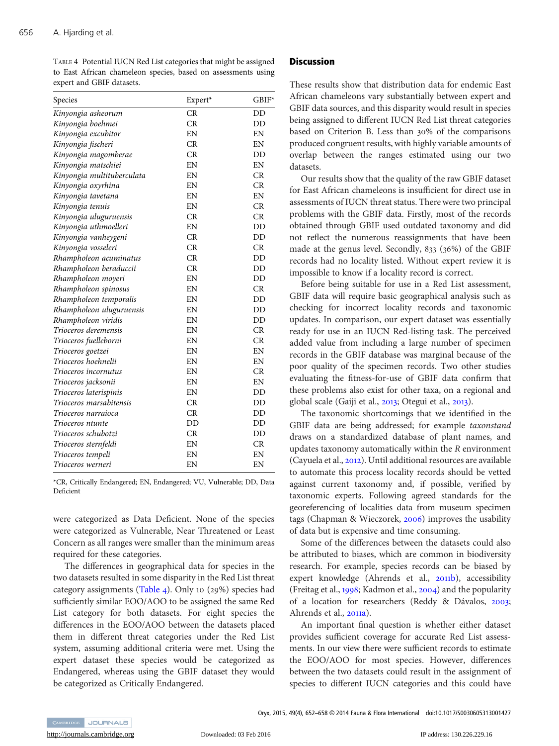TABLE 4 Potential IUCN Red List categories that might be assigned to East African chameleon species, based on assessments using expert and GBIF datasets.

| Species                    | Expert* | GBIF* |
|----------------------------|---------|-------|
| Kinyongia asheorum         | CR      | DD    |
| Kinyongia boehmei          | CR      | DD    |
| Kinyongia excubitor        | EN      | EN    |
| Kinyongia fischeri         | CR      | EN    |
| Kinyongia magomberae       | CR      | DD    |
| Kinyongia matschiei        | EN      | EN    |
| Kinyongia multituberculata | EN      | CR    |
| Kinyongia oxyrhina         | EN      | CR    |
| Kinyongia tavetana         | EN      | EN    |
| Kinyongia tenuis           | EN      | CR    |
| Kinyongia uluguruensis     | CR      | CR    |
| Kinyongia uthmoelleri      | EN      | DD    |
| Kinyongia vanheygeni       | CR      | DD    |
| Kinyongia vosseleri        | CR      | CR    |
| Rhampholeon acuminatus     | CR      | DD    |
| Rhampholeon beraduccii     | CR      | DD    |
| Rhampholeon moyeri         | EN      | DD    |
| Rhampholeon spinosus       | EN      | CR    |
| Rhampholeon temporalis     | EN      | DD    |
| Rhampholeon uluguruensis   | EN      | DD    |
| Rhampholeon viridis        | EN      | DD    |
| Trioceros deremensis       | EN      | CR    |
| Trioceros fuelleborni      | EN      | CR    |
| Trioceros goetzei          | EN      | EN    |
| Trioceros hoehnelii        | EN      | EN    |
| Trioceros incornutus       | EN      | CR    |
| Trioceros jacksonii        | EN      | EN    |
| Trioceros laterispinis     | EN      | DD    |
| Trioceros marsabitensis    | CR      | DD    |
| Trioceros narraioca        | CR      | DD    |
| Trioceros ntunte           | DD      | DD    |
| Trioceros schubotzi        | CR      | DD    |
| Trioceros sternfeldi       | EN      | CR    |
| Trioceros tempeli          | EN      | EN    |
| Trioceros werneri          | EN      | EN    |

\*CR, Critically Endangered; EN, Endangered; VU, Vulnerable; DD, Data Deficient

were categorized as Data Deficient. None of the species were categorized as Vulnerable, Near Threatened or Least Concern as all ranges were smaller than the minimum areas required for these categories.

The differences in geographical data for species in the two datasets resulted in some disparity in the Red List threat category assignments (Table 4). Only 10 (29%) species had sufficiently similar EOO/AOO to be assigned the same Red List category for both datasets. For eight species the differences in the EOO/AOO between the datasets placed them in different threat categories under the Red List system, assuming additional criteria were met. Using the expert dataset these species would be categorized as Endangered, whereas using the GBIF dataset they would be categorized as Critically Endangered.

#### **Discussion**

These results show that distribution data for endemic East African chameleons vary substantially between expert and GBIF data sources, and this disparity would result in species being assigned to different IUCN Red List threat categories based on Criterion B. Less than 30% of the comparisons produced congruent results, with highly variable amounts of overlap between the ranges estimated using our two datasets.

Our results show that the quality of the raw GBIF dataset for East African chameleons is insufficient for direct use in assessments of IUCN threat status. There were two principal problems with the GBIF data. Firstly, most of the records obtained through GBIF used outdated taxonomy and did not reflect the numerous reassignments that have been made at the genus level. Secondly, 833 (36%) of the GBIF records had no locality listed. Without expert review it is impossible to know if a locality record is correct.

Before being suitable for use in a Red List assessment, GBIF data will require basic geographical analysis such as checking for incorrect locality records and taxonomic updates. In comparison, our expert dataset was essentially ready for use in an IUCN Red-listing task. The perceived added value from including a large number of specimen records in the GBIF database was marginal because of the poor quality of the specimen records. Two other studies evaluating the fitness-for-use of GBIF data confirm that these problems also exist for other taxa, on a regional and global scale (Gaiji et al., [2013](#page-5-0); Otegui et al., [2013](#page-6-0)).

The taxonomic shortcomings that we identified in the GBIF data are being addressed; for example taxonstand draws on a standardized database of plant names, and updates taxonomy automatically within the R environment (Cayuela et al., [2012](#page-5-0)). Until additional resources are available to automate this process locality records should be vetted against current taxonomy and, if possible, verified by taxonomic experts. Following agreed standards for the georeferencing of localities data from museum specimen tags (Chapman & Wieczorek, [2006](#page-5-0)) improves the usability of data but is expensive and time consuming.

Some of the differences between the datasets could also be attributed to biases, which are common in biodiversity research. For example, species records can be biased by expert knowledge (Ahrends et al., [2011](#page-5-0)b), accessibility (Freitag et al., [1998](#page-5-0); Kadmon et al., [2004](#page-6-0)) and the popularity of a location for researchers (Reddy & Dávalos, [2003](#page-6-0); Ahrends et al., [2011](#page-5-0)a).

An important final question is whether either dataset provides sufficient coverage for accurate Red List assessments. In our view there were sufficient records to estimate the EOO/AOO for most species. However, differences between the two datasets could result in the assignment of species to different IUCN categories and this could have

CAMBRIDGE JOURNALS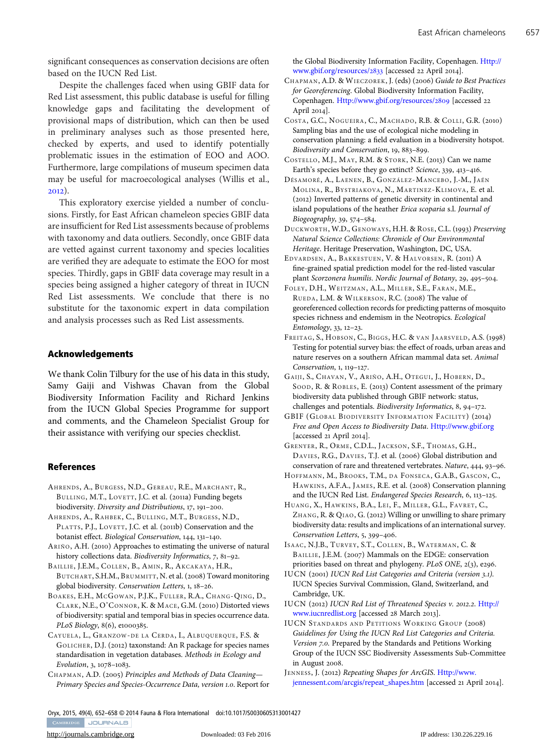<span id="page-5-0"></span>significant consequences as conservation decisions are often based on the IUCN Red List.

Despite the challenges faced when using GBIF data for Red List assessment, this public database is useful for filling knowledge gaps and facilitating the development of provisional maps of distribution, which can then be used in preliminary analyses such as those presented here, checked by experts, and used to identify potentially problematic issues in the estimation of EOO and AOO. Furthermore, large compilations of museum specimen data may be useful for macroecological analyses (Willis et al., [2012](#page-6-0)).

This exploratory exercise yielded a number of conclusions. Firstly, for East African chameleon species GBIF data are insufficient for Red List assessments because of problems with taxonomy and data outliers. Secondly, once GBIF data are vetted against current taxonomy and species localities are verified they are adequate to estimate the EOO for most species. Thirdly, gaps in GBIF data coverage may result in a species being assigned a higher category of threat in IUCN Red List assessments. We conclude that there is no substitute for the taxonomic expert in data compilation and analysis processes such as Red List assessments.

#### Acknowledgements

We thank Colin Tilbury for the use of his data in this study, Samy Gaiji and Vishwas Chavan from the Global Biodiversity Information Facility and Richard Jenkins from the IUCN Global Species Programme for support and comments, and the Chameleon Specialist Group for their assistance with verifying our species checklist.

#### References

- AHRENDS, A., BURGESS, N.D., GEREAU, R.E., MARCHANT, R., BULLING, M.T., LOVETT, J.C. et al. (2011a) Funding begets biodiversity. Diversity and Distributions, 17, 191–200.
- AHRENDS, A., RAHBEK, C., BULLING, M.T., BURGESS, N.D., PLATTS, P.J., LOVETT, J.C. et al. (2011b) Conservation and the botanist effect. Biological Conservation, 144, 131–140.
- ARIÑO, A.H. (2010) Approaches to estimating the universe of natural history collections data. Biodiversity Informatics, 7, 81–92.

BAILLIE, J.E.M., COLLEN, B., AMIN, R., AKCAKAYA, H.R., BUTCHART, S.H.M., BRUMMITT, N. et al. (2008) Toward monitoring global biodiversity. Conservation Letters, 1, 18–26.

BOAKES , E.H., MCGOWAN, P.J.K., FULLER, R.A., CHANG-QING, D., CLARK, N.E., O'CONNOR, K. & MACE, G.M. (2010) Distorted views of biodiversity: spatial and temporal bias in species occurrence data. PLoS Biology, 8(6), e1000385.

CAYUELA, L., GRANZOW-DE LA CERDA, I., ALBUQUERQUE, F.S. & GOLICHER, D.J. (2012) taxonstand: An R package for species names standardisation in vegetation databases. Methods in Ecology and Evolution, 3, 1078–1083.

CHAPMAN, A.D. (2005) Principles and Methods of Data Cleaning*—* Primary Species and Species-Occurrence Data, version 1.0. Report for the Global Biodiversity Information Facility, Copenhagen. [Http://](http://www.gbif.org/resources/2833) [www.gbif.org/resources/](http://www.gbif.org/resources/2833)2833 [accessed 22 April 2014].

- CHAPMAN, A.D. & WIECZOREK, J. (eds) (2006) Guide to Best Practices for Georeferencing. Global Biodiversity Information Facility, Copenhagen. [Http://www.gbif.org/resources/](http://www.gbif.org/resources/2809)2809 [accessed 22 April 2014].
- COSTA, G.C., NOGUEIRA, C., MACHADO, R.B. & COLLI, G.R. (2010) Sampling bias and the use of ecological niche modeling in conservation planning: a field evaluation in a biodiversity hotspot. Biodiversity and Conservation, 19, 883–899.
- COSTELLO, M.J., MAY, R.M. & STORK, N.E. (2013) Can we name Earth's species before they go extinct? Science, 339, 413–416.
- DÉSAMORÉ, A., LAENEN, B., GONZÁLEZ-MANCEBO, J.-M., JAÉN MOLINA, R., BYSTRIAKOVA, N., MARTINEZ-KLIMOVA, E. et al. (2012) Inverted patterns of genetic diversity in continental and island populations of the heather Erica scoparia s.l. Journal of Biogeography, 39, 574–584.
- DUCKWORTH, W.D., GENOWAYS, H.H. & ROSE, C.L. (1993) Preserving Natural Science Collections: Chronicle of Our Environmental Heritage. Heritage Preservation, Washington, DC, USA.
- EDVARDSEN, A., BAKKESTUEN, V. & HALVORSEN, R. (2011) A fine-grained spatial prediction model for the red-listed vascular plant Scorzonera humilis. Nordic Journal of Botany, 29, 495–504.
- FOLEY, D.H., WEITZMAN, A.L., MILLER, S.E., FARAN, M.E., RUEDA, L.M. & WILKERSON, R.C. (2008) The value of georeferenced collection records for predicting patterns of mosquito species richness and endemism in the Neotropics. Ecological Entomology, 33, 12–23.
- FREITAG, S., HOBSON, C., BIGGS , H.C. & VAN JAARSVELD, A.S. (1998) Testing for potential survey bias: the effect of roads, urban areas and nature reserves on a southern African mammal data set. Animal Conservation, 1, 119–127.
- GAIJI, S., CHAVAN, V., ARIÑO, A.H., OTEGUI, J., HOBERN, D., SOOD, R. & ROBLES, E. (2013) Content assessment of the primary biodiversity data published through GBIF network: status, challenges and potentials. Biodiversity Informatics, 8, 94–172.
- GBIF (GLOBAL BIODIVERSITY INFORMATION FACILITY) (2014) Free and Open Access to Biodiversity Data. [Http://www.gbif.org](http://www.gbif.org) [accessed 21 April 2014].
- GRENYER, R., ORME, C.D.L., JACKSON, S.F., THOMAS, G.H., DAVIES, R.G., DAVIES, T.J. et al. (2006) Global distribution and conservation of rare and threatened vertebrates. Nature, 444, 93–96.
- HOFFMANN, M., BROOKS, T.M., DA FONSECA, G.A.B., GASCON, C., HAWKINS , A.F.A., JAMES, R.E. et al. (2008) Conservation planning and the IUCN Red List. Endangered Species Research, 6, 113–125.
- HUANG, X., HAWKINS, B.A., LEI, F., MILLER, G.L., FAVRET, C., ZHANG, R. & QIAO, G. (2012) Willing or unwilling to share primary biodiversity data: results and implications of an international survey. Conservation Letters, 5, 399–406.

ISAAC, N.J.B., TURVEY, S.T., COLLEN, B., WATERMAN, C. & BAILLIE, J.E.M. (2007) Mammals on the EDGE: conservation priorities based on threat and phylogeny. PLoS ONE, 2(3), e296.

- IUCN (2001) IUCN Red List Categories and Criteria (version 3.1). IUCN Species Survival Commission, Gland, Switzerland, and Cambridge, UK.
- IUCN (2012) IUCN Red List of Threatened Species v. 2012.2. [Http://](http://www.iucnredlist.org) [www.iucnredlist.org](http://www.iucnredlist.org) [accessed 28 March 2013].
- IUCN STANDARDS AND PETITIONS WORKING GROUP (2008) Guidelines for Using the IUCN Red List Categories and Criteria. Version 7.0. Prepared by the Standards and Petitions Working Group of the IUCN SSC Biodiversity Assessments Sub-Committee in August 2008.
- JENNESS, J. (2012) Repeating Shapes for ArcGIS. [Http://www.](http://www.jennessent.com/arcgis/repeat_shapes.htm) [jennessent.com/arcgis/repeat\\_shapes.htm](http://www.jennessent.com/arcgis/repeat_shapes.htm) [accessed 21 April 2014].

Oryx, 2015, 49(4), 652–658 © 2014 Fauna & Flora International doi:10.1017/S0030605313001427CAMBRIDGE JOURNALS